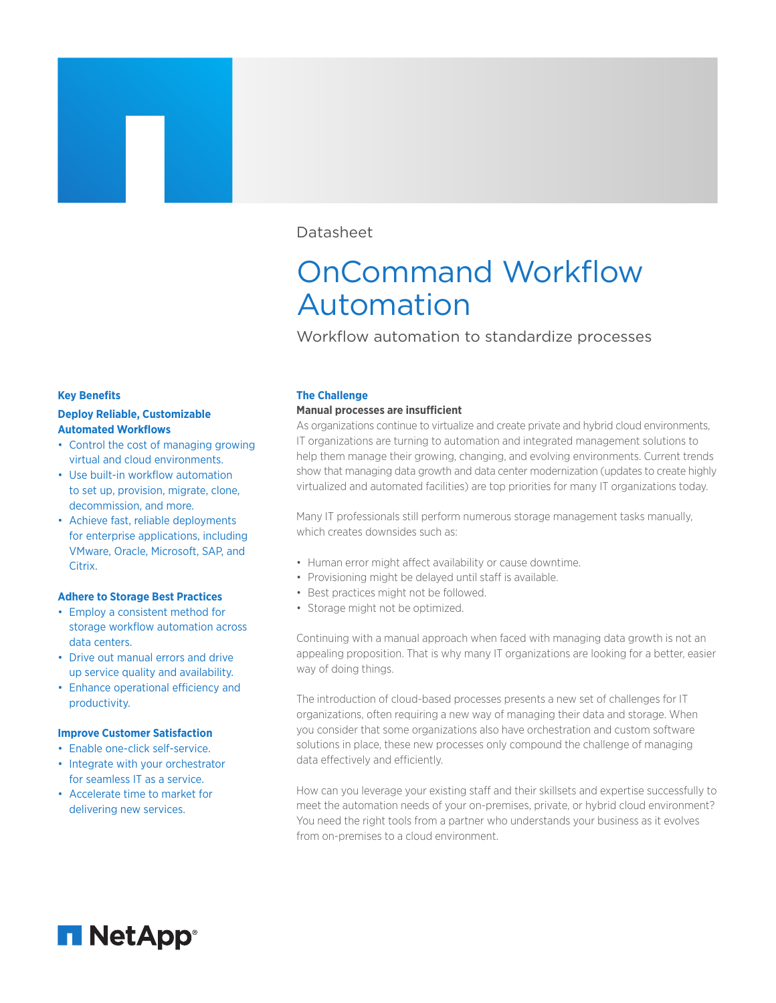## Datasheet

# OnCommand Workflow Automation

Workflow automation to standardize processes

#### **Key Benefits**

## **Deploy Reliable, Customizable Automated Workflows**

- Control the cost of managing growing virtual and cloud environments.
- Use built-in workflow automation to set up, provision, migrate, clone, decommission, and more.
- Achieve fast, reliable deployments for enterprise applications, including VMware, Oracle, Microsoft, SAP, and Citrix.

## **Adhere to Storage Best Practices**

- Employ a consistent method for storage workflow automation across data centers.
- Drive out manual errors and drive up service quality and availability.
- Enhance operational efficiency and productivity.

#### **Improve Customer Satisfaction**

- Enable one-click self-service.
- Integrate with your orchestrator for seamless IT as a service.
- Accelerate time to market for delivering new services.

#### **The Challenge**

#### **Manual processes are insufcient**

As organizations continue to virtualize and create private and hybrid cloud environments, IT organizations are turning to automation and integrated management solutions to help them manage their growing, changing, and evolving environments. Current trends show that managing data growth and data center modernization (updates to create highly virtualized and automated facilities) are top priorities for many IT organizations today.

Many IT professionals still perform numerous storage management tasks manually, which creates downsides such as:

- Human error might affect availability or cause downtime.
- Provisioning might be delayed until staff is available.
- Best practices might not be followed.
- Storage might not be optimized.

Continuing with a manual approach when faced with managing data growth is not an appealing proposition. That is why many IT organizations are looking for a better, easier way of doing things.

The introduction of cloud-based processes presents a new set of challenges for IT organizations, often requiring a new way of managing their data and storage. When you consider that some organizations also have orchestration and custom software solutions in place, these new processes only compound the challenge of managing data effectively and efficiently.

How can you leverage your existing staff and their skillsets and expertise successfully to meet the automation needs of your on-premises, private, or hybrid cloud environment? You need the right tools from a partner who understands your business as it evolves from on-premises to a cloud environment.

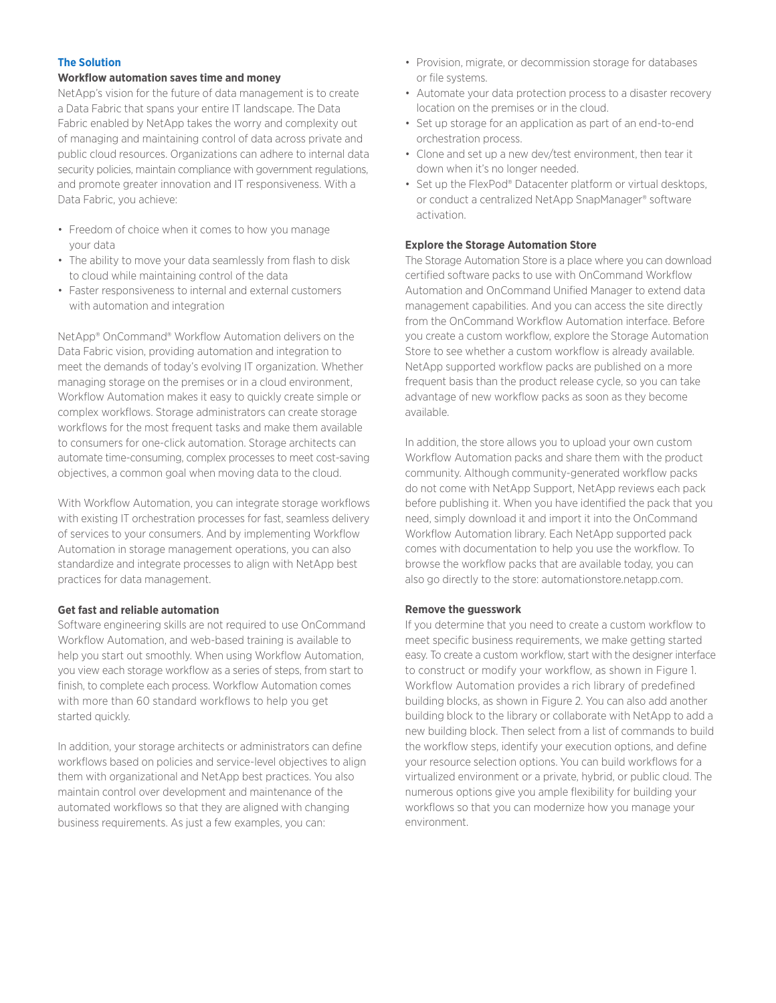## **The Solution**

#### **Workflow automation saves time and money**

NetApp's vision for the future of data management is to create a Data Fabric that spans your entire IT landscape. The Data Fabric enabled by NetApp takes the worry and complexity out of managing and maintaining control of data across private and public cloud resources. Organizations can adhere to internal data security policies, maintain compliance with government regulations, and promote greater innovation and IT responsiveness. With a Data Fabric, you achieve:

- Freedom of choice when it comes to how you manage your data
- The ability to move your data seamlessly from flash to disk to cloud while maintaining control of the data
- Faster responsiveness to internal and external customers with automation and integration

NetApp® OnCommand® Workflow Automation delivers on the Data Fabric vision, providing automation and integration to meet the demands of today's evolving IT organization. Whether managing storage on the premises or in a cloud environment, Workflow Automation makes it easy to quickly create simple or complex workflows. Storage administrators can create storage workflows for the most frequent tasks and make them available to consumers for one-click automation. Storage architects can automate time-consuming, complex processes to meet cost-saving objectives, a common goal when moving data to the cloud.

With Workflow Automation, you can integrate storage workflows with existing IT orchestration processes for fast, seamless delivery of services to your consumers. And by implementing Workflow Automation in storage management operations, you can also standardize and integrate processes to align with NetApp best practices for data management.

#### **Get fast and reliable automation**

Software engineering skills are not required to use OnCommand Workflow Automation, and web-based training is available to help you start out smoothly. When using Workflow Automation, you view each storage workflow as a series of steps, from start to finish, to complete each process. Workflow Automation comes with more than 60 standard workflows to help you get started quickly.

In addition, your storage architects or administrators can define workflows based on policies and service-level objectives to align them with organizational and NetApp best practices. You also maintain control over development and maintenance of the automated workflows so that they are aligned with changing business requirements. As just a few examples, you can:

- Provision, migrate, or decommission storage for databases or file systems.
- Automate your data protection process to a disaster recovery location on the premises or in the cloud.
- Set up storage for an application as part of an end-to-end orchestration process.
- Clone and set up a new dev/test environment, then tear it down when it's no longer needed.
- Set up the FlexPod® Datacenter platform or virtual desktops, or conduct a centralized NetApp SnapManager® software activation.

#### **Explore the Storage Automation Store**

The Storage Automation Store is a place where you can download certified software packs to use with OnCommand Workflow Automation and OnCommand Unified Manager to extend data management capabilities. And you can access the site directly from the OnCommand Workflow Automation interface. Before you create a custom workflow, explore the Storage Automation Store to see whether a custom workflow is already available. NetApp supported workflow packs are published on a more frequent basis than the product release cycle, so you can take advantage of new workflow packs as soon as they become available.

In addition, the store allows you to upload your own custom Workflow Automation packs and share them with the product community. Although community-generated workflow packs do not come with NetApp Support, NetApp reviews each pack before publishing it. When you have identified the pack that you need, simply download it and import it into the OnCommand Workflow Automation library. Each NetApp supported pack comes with documentation to help you use the workflow. To browse the workflow packs that are available today, you can also go directly to the store: automationstore.netapp.com.

#### **Remove the guesswork**

If you determine that you need to create a custom workflow to meet specific business requirements, we make getting started easy. To create a custom workflow, start with the designer interface to construct or modify your workflow, as shown in Figure 1. Workflow Automation provides a rich library of predefined building blocks, as shown in Figure 2. You can also add another building block to the library or collaborate with NetApp to add a new building block. Then select from a list of commands to build the workflow steps, identify your execution options, and define your resource selection options. You can build workflows for a virtualized environment or a private, hybrid, or public cloud. The numerous options give you ample flexibility for building your workflows so that you can modernize how you manage your environment.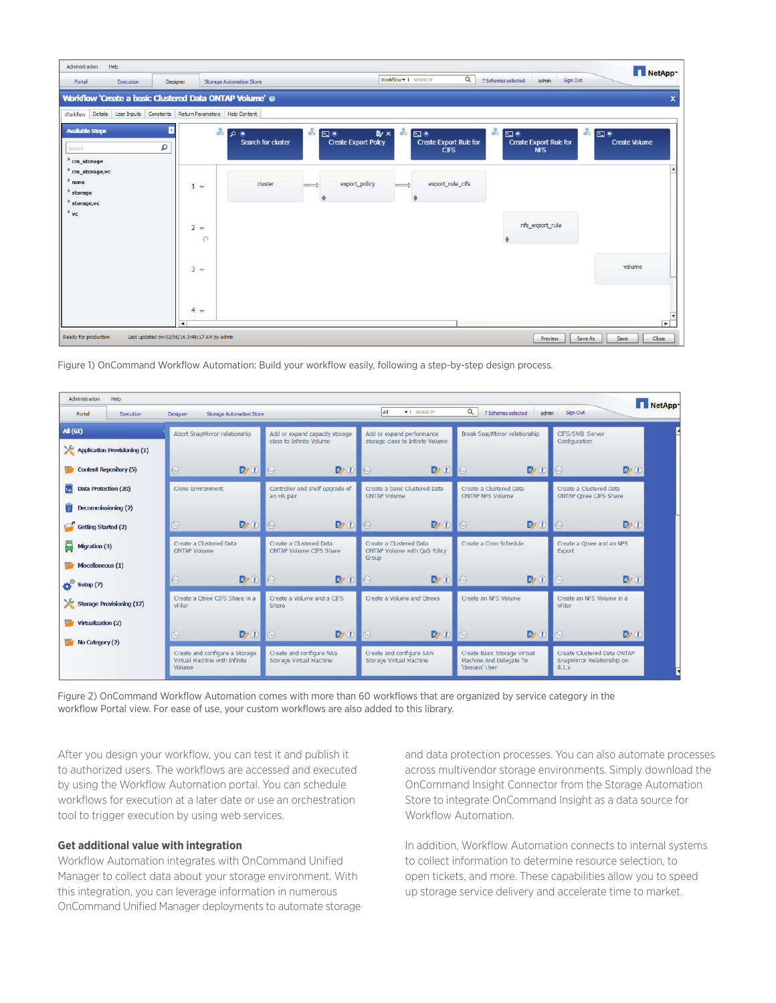| Administration                                    | Help                |                                              |                                                         |     |                                   |                     |                                                    |                                                                 |                  | NetApp~                  |
|---------------------------------------------------|---------------------|----------------------------------------------|---------------------------------------------------------|-----|-----------------------------------|---------------------|----------------------------------------------------|-----------------------------------------------------------------|------------------|--------------------------|
| Portal                                            | Execution           | Designer                                     | <b>Storage Automation Store</b>                         |     |                                   | Worldlow = 1 SEARCH | $\alpha$                                           | 7 Schemes selected<br>admin                                     | Sign Out         |                          |
|                                                   |                     |                                              | Workflow 'Create a basic Clustered Data ONTAP Volume' @ |     |                                   |                     |                                                    |                                                                 |                  | $\mathsf{x}$             |
| Workflow                                          | Details User Inputs | Constants                                    | Return Parameters Help Content                          |     |                                   |                     |                                                    |                                                                 |                  |                          |
| <b>Available Steps</b><br>Search<br>$em\_storage$ |                     | п<br>م                                       | ÷<br>≅ م∣<br>Search for cluster                         | ÷   | 四章<br><b>Create Export Policy</b> | ÷<br>$E \times$     | 四章<br><b>Create Export Rule for</b><br><b>CIFS</b> | $\frac{1}{2}$ of<br><b>Create Export Rule for</b><br><b>NFS</b> | $\mathbf{P}$ and | <b>Create Volume</b>     |
| cm_storage,vc<br>none<br>storage<br>storage, vc   |                     |                                              | cluster<br>$1 -$                                        | - - | export_policy                     |                     | export_rule_cifs                                   |                                                                 |                  |                          |
| vc                                                |                     |                                              | $2 -$<br>$\cap$                                         |     |                                   |                     |                                                    | nfs_export_rule                                                 |                  |                          |
|                                                   |                     |                                              | $3 -$                                                   |     |                                   |                     |                                                    |                                                                 |                  | volume                   |
|                                                   |                     | $\blacktriangleleft$                         | $4 -$                                                   |     |                                   |                     |                                                    |                                                                 |                  | $\overline{\phantom{0}}$ |
| Ready for production                              |                     | Last updated on:02/06/16 3:45:17 AM by admin |                                                         |     |                                   |                     |                                                    | Preview                                                         | Save As          | Close<br>Save            |

Figure 1) OnCommand Workflow Automation: Build your workflow easily, following a step-by-step design process.

| Administration<br>Help<br>NetApp <sup>-</sup> |                                                                           |                                                            |                                                                  |                                                                          |                                                                    |  |  |  |  |  |
|-----------------------------------------------|---------------------------------------------------------------------------|------------------------------------------------------------|------------------------------------------------------------------|--------------------------------------------------------------------------|--------------------------------------------------------------------|--|--|--|--|--|
| Portal<br>Execution                           | <b>Storage Automation Store</b><br>Designer                               |                                                            | All<br><b>*</b> SEARCH                                           | $\alpha$<br>7 Schemes selected<br>admin                                  | Sign Out                                                           |  |  |  |  |  |
| <b>AI</b> (61)                                | Abort SnapMirror relationship                                             | Add or expand capacity storage<br>class to Infinite Volume | Add or expand performance<br>storage class to Infinite Volume    | Break SnapMirror relationship                                            | CIFS/SMB Server<br>Configuration                                   |  |  |  |  |  |
| ж<br><b>Application Provisioning (1)</b>      |                                                                           |                                                            |                                                                  |                                                                          |                                                                    |  |  |  |  |  |
| <b>Content Repository (5)</b>                 | $\bigcirc$<br>$\rightarrow 0$                                             | P(0)<br>$\epsilon$                                         | $\sqrt{c_n}$                                                     | $\rightarrow 0$                                                          | $\mathbf{P}$<br>$\left(\widehat{c_{n}}\right)$                     |  |  |  |  |  |
| Data Protection (20)                          | <b>Clone Environment</b>                                                  | Controller and shelf upgrade of<br>an HA pair              | Create a basic Clustered Data<br><b>ONTAP Volume</b>             | Create a Clustered Data<br><b>ONTAP NFS Volume</b>                       | Create a Clustered Data<br><b>ONTAP Qtree CIFS Share</b>           |  |  |  |  |  |
| Decommissioning (2)                           |                                                                           |                                                            |                                                                  |                                                                          |                                                                    |  |  |  |  |  |
| Getting Started (2)                           | P(0)<br>匐                                                                 | P(0)<br>$\subset$                                          | $\sqrt{C_0}$<br>$\n  B 0$                                        | $\mathbf{P}$ (i)                                                         | $\mathbf{p}(\mathbf{r})$<br>$\left($ c.,                           |  |  |  |  |  |
| ₽<br>Migration (3)                            | Create a Clustered Data<br><b>ONTAP Volume</b>                            | Create a Clustered Data<br><b>ONTAP Volume CIFS Share</b>  | Create a Clustered Data<br>ONTAP Volume with QoS Policy<br>Group | Create a Cron Schedule                                                   | Create a Qtree and an NFS<br>Export                                |  |  |  |  |  |
| Miscellaneous (1)                             |                                                                           |                                                            |                                                                  |                                                                          |                                                                    |  |  |  |  |  |
| Setup(7)                                      | P(0 0)<br>ධ                                                               | P(0)                                                       | P(0 0)<br>$\overline{C}$                                         | P(0)                                                                     | P(0)<br>$\left(7\right)$                                           |  |  |  |  |  |
| Storage Provisioning (17)                     | Create a Otree CIFS Share in a<br>vFiler                                  | Create a Volume and a CIFS<br>Share                        | Create a Volume and Otrees                                       | Create an NFS Volume                                                     | Create an NFS Volume in a<br>vFiler                                |  |  |  |  |  |
| Virtualization (2)                            |                                                                           |                                                            |                                                                  |                                                                          |                                                                    |  |  |  |  |  |
| No Category (2)                               | P(0)<br>$\widehat{\tau_m}$                                                | $P \odot$<br>$\sqrt{a}$                                    | P(0 0)<br>$\circ$                                                | P(0)                                                                     | P(0)                                                               |  |  |  |  |  |
|                                               | Create and configure a Storage<br>Virtual Machine with Infinite<br>Volume | Create and configure NAS<br>Storage Virtual Machine        | Create and configure SAN<br>Storage Virtual Machine              | Create Basic Storage Virtual<br>Machine And Delegate To<br>'domain' User | Create Clustered Data ONTAP<br>SnapMirror Relationship on<br>8.1.x |  |  |  |  |  |

Figure 2) OnCommand Workflow Automation comes with more than 60 workflows that are organized by service category in the workflow Portal view. For ease of use, your custom workflows are also added to this library.

After you design your workflow, you can test it and publish it to authorized users. The workflows are accessed and executed by using the Workflow Automation portal. You can schedule workflows for execution at a later date or use an orchestration tool to trigger execution by using web services.

#### **Get additional value with integration**

Workflow Automation integrates with OnCommand Unified Manager to collect data about your storage environment. With this integration, you can leverage information in numerous OnCommand Unified Manager deployments to automate storage and data protection processes. You can also automate processes across multivendor storage environments. Simply download the OnCommand Insight Connector from the Storage Automation Store to integrate OnCommand Insight as a data source for Workflow Automation.

In addition, Workflow Automation connects to internal systems to collect information to determine resource selection, to open tickets, and more. These capabilities allow you to speed up storage service delivery and accelerate time to market.